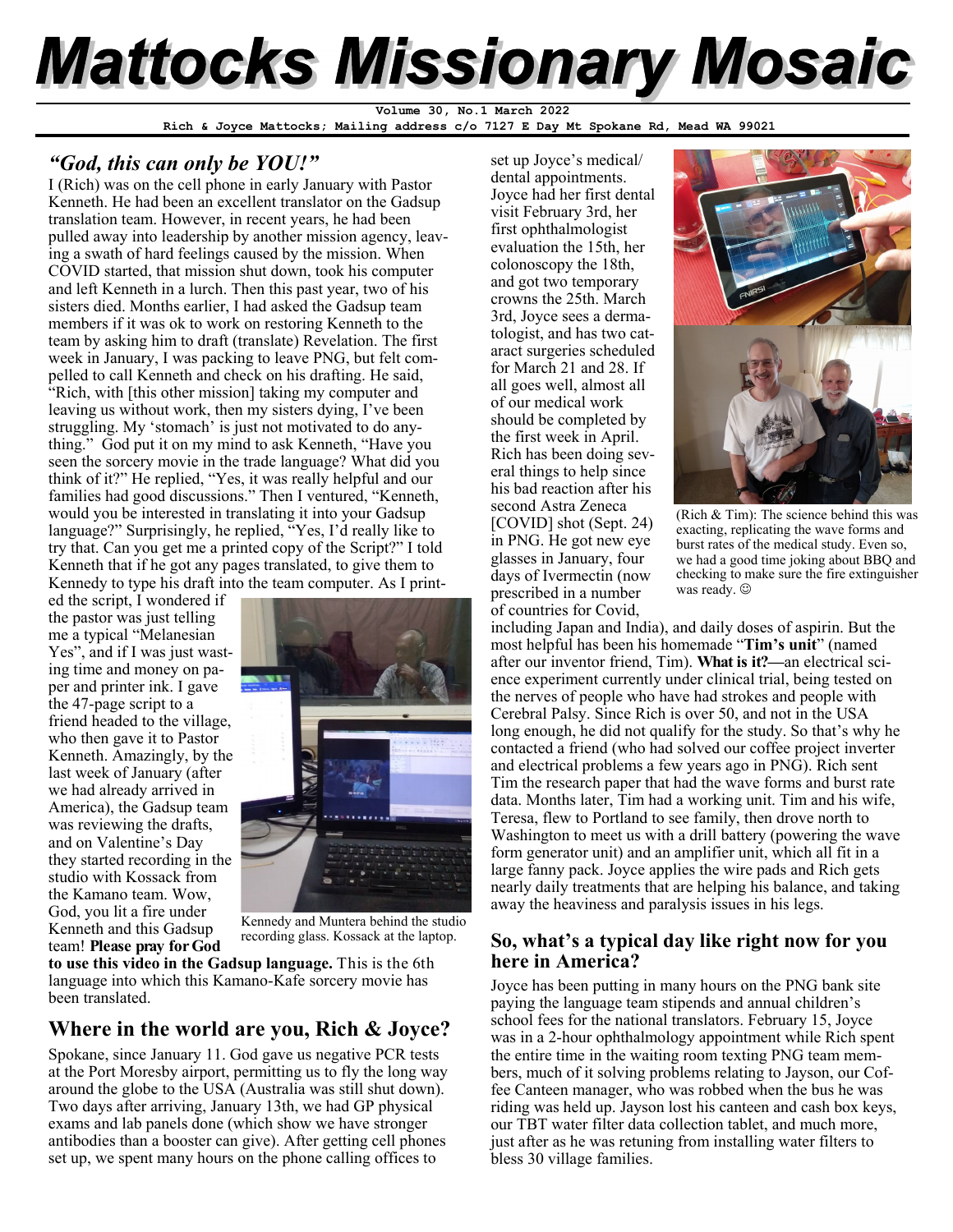# **Mattocks Missionary Mosaic**

**Volume 30, No.1 March 2022** 

**Rich & Joyce Mattocks; Mailing address c/o 7127 E Day Mt Spokane Rd, Mead WA 99021** 

### *"God, this can only be YOU!"*

I (Rich) was on the cell phone in early January with Pastor Kenneth. He had been an excellent translator on the Gadsup translation team. However, in recent years, he had been pulled away into leadership by another mission agency, leaving a swath of hard feelings caused by the mission. When COVID started, that mission shut down, took his computer and left Kenneth in a lurch. Then this past year, two of his sisters died. Months earlier, I had asked the Gadsup team members if it was ok to work on restoring Kenneth to the team by asking him to draft (translate) Revelation. The first week in January, I was packing to leave PNG, but felt compelled to call Kenneth and check on his drafting. He said, "Rich, with [this other mission] taking my computer and leaving us without work, then my sisters dying, I've been struggling. My 'stomach' is just not motivated to do anything." God put it on my mind to ask Kenneth, "Have you seen the sorcery movie in the trade language? What did you think of it?" He replied, "Yes, it was really helpful and our families had good discussions." Then I ventured, "Kenneth, would you be interested in translating it into your Gadsup language?" Surprisingly, he replied, "Yes, I'd really like to try that. Can you get me a printed copy of the Script?" I told Kenneth that if he got any pages translated, to give them to Kennedy to type his draft into the team computer. As I print-

ed the script, I wondered if the pastor was just telling me a typical "Melanesian Yes", and if I was just wasting time and money on paper and printer ink. I gave the 47-page script to a friend headed to the village, who then gave it to Pastor Kenneth. Amazingly, by the last week of January (after we had already arrived in America), the Gadsup team was reviewing the drafts, and on Valentine's Day they started recording in the studio with Kossack from the Kamano team. Wow, God, you lit a fire under Kenneth and this Gadsup team! **Please pray for God** 



Kennedy and Muntera behind the studio recording glass. Kossack at the laptop.

**to use this video in the Gadsup language.** This is the 6th language into which this Kamano-Kafe sorcery movie has been translated.

### **Where in the world are you, Rich & Joyce?**

Spokane, since January 11. God gave us negative PCR tests at the Port Moresby airport, permitting us to fly the long way around the globe to the USA (Australia was still shut down). Two days after arriving, January 13th, we had GP physical exams and lab panels done (which show we have stronger antibodies than a booster can give). After getting cell phones set up, we spent many hours on the phone calling offices to

set up Joyce's medical/ dental appointments. Joyce had her first dental visit February 3rd, her first ophthalmologist evaluation the 15th, her colonoscopy the 18th, and got two temporary crowns the 25th. March 3rd, Joyce sees a dermatologist, and has two cataract surgeries scheduled for March 21 and 28. If all goes well, almost all of our medical work should be completed by the first week in April. Rich has been doing several things to help since his bad reaction after his second Astra Zeneca [COVID] shot (Sept. 24) in PNG. He got new eye glasses in January, four days of Ivermectin (now prescribed in a number of countries for Covid,



(Rich & Tim): The science behind this was exacting, replicating the wave forms and burst rates of the medical study. Even so, we had a good time joking about BBQ and checking to make sure the fire extinguisher was ready.  $\odot$ 

including Japan and India), and daily doses of aspirin. But the most helpful has been his homemade "**Tim's unit**" (named after our inventor friend, Tim). **What is it?—**an electrical science experiment currently under clinical trial, being tested on the nerves of people who have had strokes and people with Cerebral Palsy. Since Rich is over 50, and not in the USA long enough, he did not qualify for the study. So that's why he contacted a friend (who had solved our coffee project inverter and electrical problems a few years ago in PNG). Rich sent Tim the research paper that had the wave forms and burst rate data. Months later, Tim had a working unit. Tim and his wife, Teresa, flew to Portland to see family, then drove north to Washington to meet us with a drill battery (powering the wave form generator unit) and an amplifier unit, which all fit in a large fanny pack. Joyce applies the wire pads and Rich gets nearly daily treatments that are helping his balance, and taking away the heaviness and paralysis issues in his legs.

### **So, what's a typical day like right now for you here in America?**

Joyce has been putting in many hours on the PNG bank site paying the language team stipends and annual children's school fees for the national translators. February 15, Joyce was in a 2-hour ophthalmology appointment while Rich spent the entire time in the waiting room texting PNG team members, much of it solving problems relating to Jayson, our Coffee Canteen manager, who was robbed when the bus he was riding was held up. Jayson lost his canteen and cash box keys, our TBT water filter data collection tablet, and much more, just after as he was retuning from installing water filters to bless 30 village families.